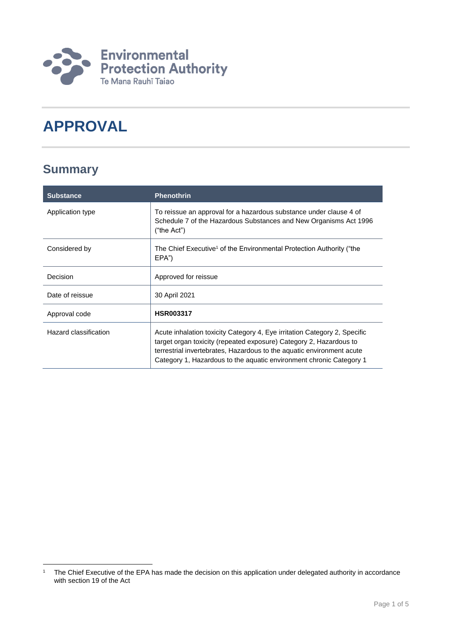

# **APPROVAL**

## **Summary**

| <b>Substance</b>      | <b>Phenothrin</b>                                                                                                                                                                                                                                                                               |
|-----------------------|-------------------------------------------------------------------------------------------------------------------------------------------------------------------------------------------------------------------------------------------------------------------------------------------------|
| Application type      | To reissue an approval for a hazardous substance under clause 4 of<br>Schedule 7 of the Hazardous Substances and New Organisms Act 1996<br>("the Act")                                                                                                                                          |
| Considered by         | The Chief Executive <sup>1</sup> of the Environmental Protection Authority ("the<br>EPA")                                                                                                                                                                                                       |
| Decision              | Approved for reissue                                                                                                                                                                                                                                                                            |
| Date of reissue       | 30 April 2021                                                                                                                                                                                                                                                                                   |
| Approval code         | <b>HSR003317</b>                                                                                                                                                                                                                                                                                |
| Hazard classification | Acute inhalation toxicity Category 4, Eye irritation Category 2, Specific<br>target organ toxicity (repeated exposure) Category 2, Hazardous to<br>terrestrial invertebrates, Hazardous to the aquatic environment acute<br>Category 1, Hazardous to the aguatic environment chronic Category 1 |

<sup>1</sup> <sup>1</sup> The Chief Executive of the EPA has made the decision on this application under delegated authority in accordance with section 19 of the Act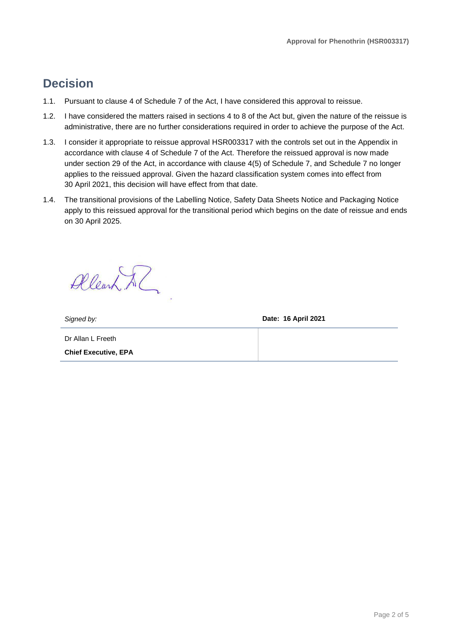### **Decision**

- 1.1. Pursuant to clause 4 of Schedule 7 of the Act, I have considered this approval to reissue.
- 1.2. I have considered the matters raised in sections 4 to 8 of the Act but, given the nature of the reissue is administrative, there are no further considerations required in order to achieve the purpose of the Act.
- 1.3. I consider it appropriate to reissue approval HSR003317 with the controls set out in the Appendix in accordance with clause 4 of Schedule 7 of the Act. Therefore the reissued approval is now made under section 29 of the Act, in accordance with clause 4(5) of Schedule 7, and Schedule 7 no longer applies to the reissued approval. Given the hazard classification system comes into effect from 30 April 2021, this decision will have effect from that date.
- 1.4. The transitional provisions of the Labelling Notice, Safety Data Sheets Notice and Packaging Notice apply to this reissued approval for the transitional period which begins on the date of reissue and ends on 30 April 2025.

Allearn Al

*Signed by:* **Date: 16 April 2021**

Dr Allan L Freeth **Chief Executive, EPA**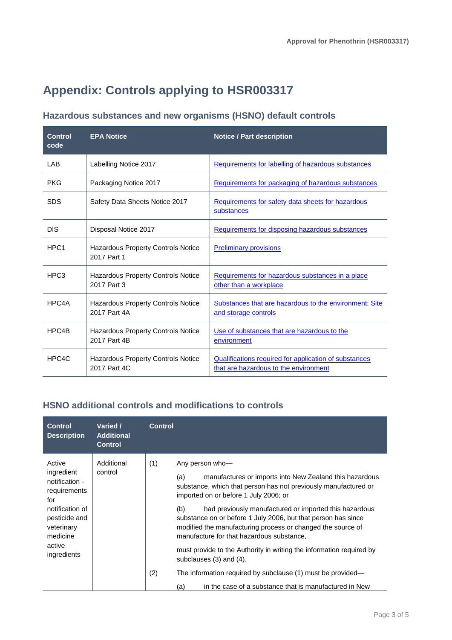## **Appendix: Controls applying to HSR003317**

### **Hazardous substances and new organisms (HSNO) default controls**

| <b>Control</b><br>code | <b>EPA Notice</b>                                         | <b>Notice / Part description</b>                                                               |
|------------------------|-----------------------------------------------------------|------------------------------------------------------------------------------------------------|
| LAB                    | Labelling Notice 2017                                     | Requirements for labelling of hazardous substances                                             |
| <b>PKG</b>             | Packaging Notice 2017                                     | Requirements for packaging of hazardous substances                                             |
| <b>SDS</b>             | Safety Data Sheets Notice 2017                            | Requirements for safety data sheets for hazardous<br>substances                                |
| <b>DIS</b>             | Disposal Notice 2017                                      | Requirements for disposing hazardous substances                                                |
| HPC <sub>1</sub>       | Hazardous Property Controls Notice<br>2017 Part 1         | <b>Preliminary provisions</b>                                                                  |
| HPC <sub>3</sub>       | <b>Hazardous Property Controls Notice</b><br>2017 Part 3  | Requirements for hazardous substances in a place<br>other than a workplace                     |
| HPC4A                  | <b>Hazardous Property Controls Notice</b><br>2017 Part 4A | Substances that are hazardous to the environment: Site<br>and storage controls                 |
| HPC4B                  | Hazardous Property Controls Notice<br>2017 Part 4B        | Use of substances that are hazardous to the<br>environment                                     |
| HPC4C                  | Hazardous Property Controls Notice<br>2017 Part 4C        | Qualifications required for application of substances<br>that are hazardous to the environment |

#### **HSNO additional controls and modifications to controls**

| Active<br>Additional<br>(1)<br>Any person who-<br>ingredient<br>control                                                                                                                                                                                                                                                                                                                                                                                                                                                                                                                                                                                                                                                                                                                                 |  |
|---------------------------------------------------------------------------------------------------------------------------------------------------------------------------------------------------------------------------------------------------------------------------------------------------------------------------------------------------------------------------------------------------------------------------------------------------------------------------------------------------------------------------------------------------------------------------------------------------------------------------------------------------------------------------------------------------------------------------------------------------------------------------------------------------------|--|
| manufactures or imports into New Zealand this hazardous<br>(a)<br>notification -<br>substance, which that person has not previously manufactured or<br>requirements<br>imported on or before 1 July 2006; or<br>for<br>notification of<br>had previously manufactured or imported this hazardous<br>(b)<br>pesticide and<br>substance on or before 1 July 2006, but that person has since<br>modified the manufacturing process or changed the source of<br>veterinary<br>medicine<br>manufacture for that hazardous substance,<br>active<br>must provide to the Authority in writing the information required by<br>ingredients<br>subclauses $(3)$ and $(4)$ .<br>(2)<br>The information required by subclause (1) must be provided—<br>in the case of a substance that is manufactured in New<br>(a) |  |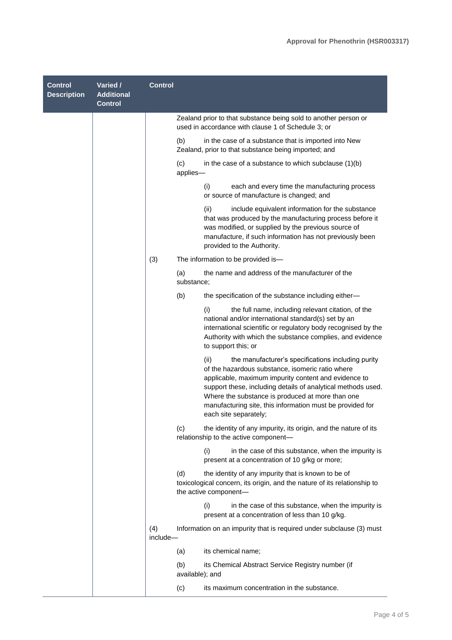| <b>Control</b><br><b>Description</b> | Varied /<br><b>Additional</b><br><b>Control</b> | <b>Control</b>  |                                                                                                                                                                                                                                                                                                                                                                                  |
|--------------------------------------|-------------------------------------------------|-----------------|----------------------------------------------------------------------------------------------------------------------------------------------------------------------------------------------------------------------------------------------------------------------------------------------------------------------------------------------------------------------------------|
|                                      |                                                 |                 | Zealand prior to that substance being sold to another person or<br>used in accordance with clause 1 of Schedule 3; or                                                                                                                                                                                                                                                            |
|                                      |                                                 |                 | (b)<br>in the case of a substance that is imported into New<br>Zealand, prior to that substance being imported; and                                                                                                                                                                                                                                                              |
|                                      |                                                 |                 | (c)<br>in the case of a substance to which subclause $(1)(b)$<br>applies-                                                                                                                                                                                                                                                                                                        |
|                                      |                                                 |                 | (i)<br>each and every time the manufacturing process<br>or source of manufacture is changed; and                                                                                                                                                                                                                                                                                 |
|                                      |                                                 |                 | (ii)<br>include equivalent information for the substance<br>that was produced by the manufacturing process before it<br>was modified, or supplied by the previous source of<br>manufacture, if such information has not previously been<br>provided to the Authority.                                                                                                            |
|                                      |                                                 | (3)             | The information to be provided is-                                                                                                                                                                                                                                                                                                                                               |
|                                      |                                                 |                 | the name and address of the manufacturer of the<br>(a)<br>substance;                                                                                                                                                                                                                                                                                                             |
|                                      |                                                 |                 | (b)<br>the specification of the substance including either-                                                                                                                                                                                                                                                                                                                      |
|                                      |                                                 |                 | the full name, including relevant citation, of the<br>(i)<br>national and/or international standard(s) set by an<br>international scientific or regulatory body recognised by the<br>Authority with which the substance complies, and evidence<br>to support this; or                                                                                                            |
|                                      |                                                 |                 | (ii)<br>the manufacturer's specifications including purity<br>of the hazardous substance, isomeric ratio where<br>applicable, maximum impurity content and evidence to<br>support these, including details of analytical methods used.<br>Where the substance is produced at more than one<br>manufacturing site, this information must be provided for<br>each site separately; |
|                                      |                                                 |                 | the identity of any impurity, its origin, and the nature of its<br>(c)<br>relationship to the active component-                                                                                                                                                                                                                                                                  |
|                                      |                                                 |                 | (i)<br>in the case of this substance, when the impurity is<br>present at a concentration of 10 g/kg or more;                                                                                                                                                                                                                                                                     |
|                                      |                                                 |                 | (d)<br>the identity of any impurity that is known to be of<br>toxicological concern, its origin, and the nature of its relationship to<br>the active component-                                                                                                                                                                                                                  |
|                                      |                                                 |                 | (i)<br>in the case of this substance, when the impurity is<br>present at a concentration of less than 10 g/kg.                                                                                                                                                                                                                                                                   |
|                                      |                                                 | (4)<br>include- | Information on an impurity that is required under subclause (3) must                                                                                                                                                                                                                                                                                                             |
|                                      |                                                 |                 | its chemical name;<br>(a)                                                                                                                                                                                                                                                                                                                                                        |
|                                      |                                                 |                 | (b)<br>its Chemical Abstract Service Registry number (if<br>available); and                                                                                                                                                                                                                                                                                                      |
|                                      |                                                 |                 | its maximum concentration in the substance.<br>(c)                                                                                                                                                                                                                                                                                                                               |